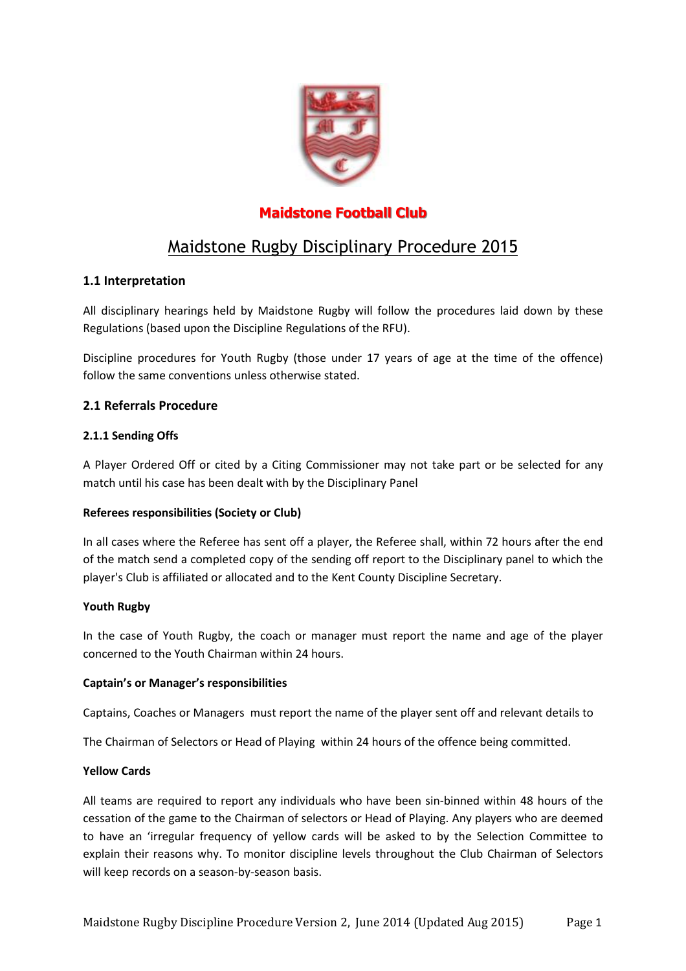

# **Maidstone Football Club**

# Maidstone Rugby Disciplinary Procedure 2015

# **1.1 Interpretation**

All disciplinary hearings held by Maidstone Rugby will follow the procedures laid down by these Regulations (based upon the Discipline Regulations of the RFU).

Discipline procedures for Youth Rugby (those under 17 years of age at the time of the offence) follow the same conventions unless otherwise stated.

# **2.1 Referrals Procedure**

# **2.1.1 Sending Offs**

A Player Ordered Off or cited by a Citing Commissioner may not take part or be selected for any match until his case has been dealt with by the Disciplinary Panel

# **Referees responsibilities (Society or Club)**

In all cases where the Referee has sent off a player, the Referee shall, within 72 hours after the end of the match send a completed copy of the sending off report to the Disciplinary panel to which the player's Club is affiliated or allocated and to the Kent County Discipline Secretary.

# **Youth Rugby**

In the case of Youth Rugby, the coach or manager must report the name and age of the player concerned to the Youth Chairman within 24 hours.

# **Captain's or Manager's responsibilities**

Captains, Coaches or Managers must report the name of the player sent off and relevant details to

The Chairman of Selectors or Head of Playing within 24 hours of the offence being committed.

#### **Yellow Cards**

All teams are required to report any individuals who have been sin-binned within 48 hours of the cessation of the game to the Chairman of selectors or Head of Playing. Any players who are deemed to have an 'irregular frequency of yellow cards will be asked to by the Selection Committee to explain their reasons why. To monitor discipline levels throughout the Club Chairman of Selectors will keep records on a season-by-season basis.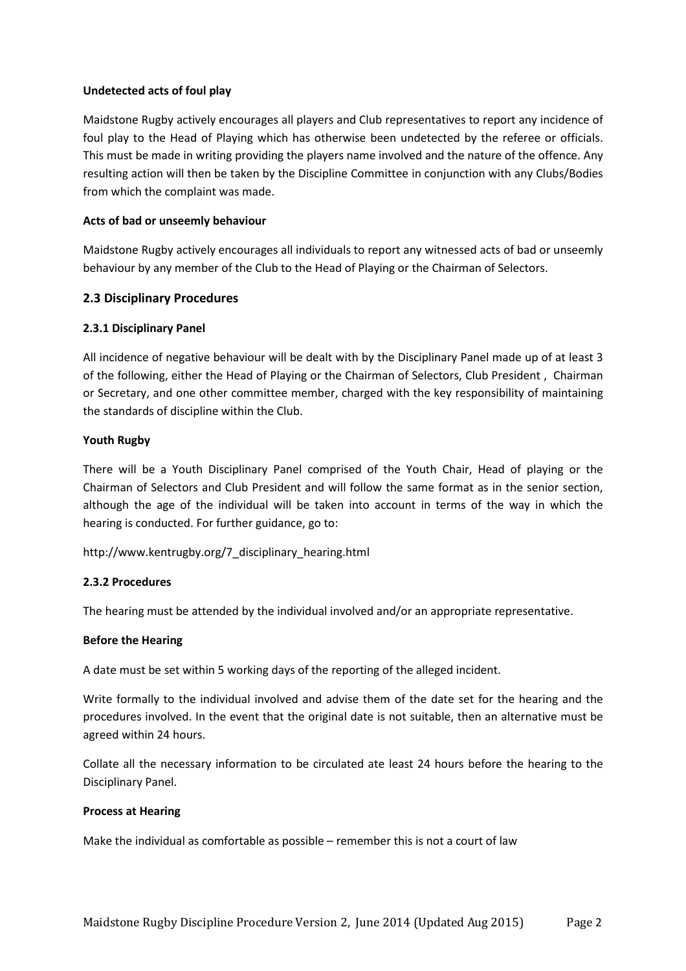#### **Undetected acts of foul play**

Maidstone Rugby actively encourages all players and Club representatives to report any incidence of foul play to the Head of Playing which has otherwise been undetected by the referee or officials. This must be made in writing providing the players name involved and the nature of the offence. Any resulting action will then be taken by the Discipline Committee in conjunction with any Clubs/Bodies from which the complaint was made.

#### **Acts of bad or unseemly behaviour**

Maidstone Rugby actively encourages all individuals to report any witnessed acts of bad or unseemly behaviour by any member of the Club to the Head of Playing or the Chairman of Selectors.

#### **2.3 Disciplinary Procedures**

#### **2.3.1 Disciplinary Panel**

All incidence of negative behaviour will be dealt with by the Disciplinary Panel made up of at least 3 of the following, either the Head of Playing or the Chairman of Selectors, Club President , Chairman or Secretary, and one other committee member, charged with the key responsibility of maintaining the standards of discipline within the Club.

#### **Youth Rugby**

There will be a Youth Disciplinary Panel comprised of the Youth Chair, Head of playing or the Chairman of Selectors and Club President and will follow the same format as in the senior section, although the age of the individual will be taken into account in terms of the way in which the hearing is conducted. For further guidance, go to:

http://www.kentrugby.org/7\_disciplinary\_hearing.html

#### **2.3.2 Procedures**

The hearing must be attended by the individual involved and/or an appropriate representative.

#### **Before the Hearing**

A date must be set within 5 working days of the reporting of the alleged incident.

Write formally to the individual involved and advise them of the date set for the hearing and the procedures involved. In the event that the original date is not suitable, then an alternative must be agreed within 24 hours.

Collate all the necessary information to be circulated ate least 24 hours before the hearing to the Disciplinary Panel.

#### **Process at Hearing**

Make the individual as comfortable as possible – remember this is not a court of law